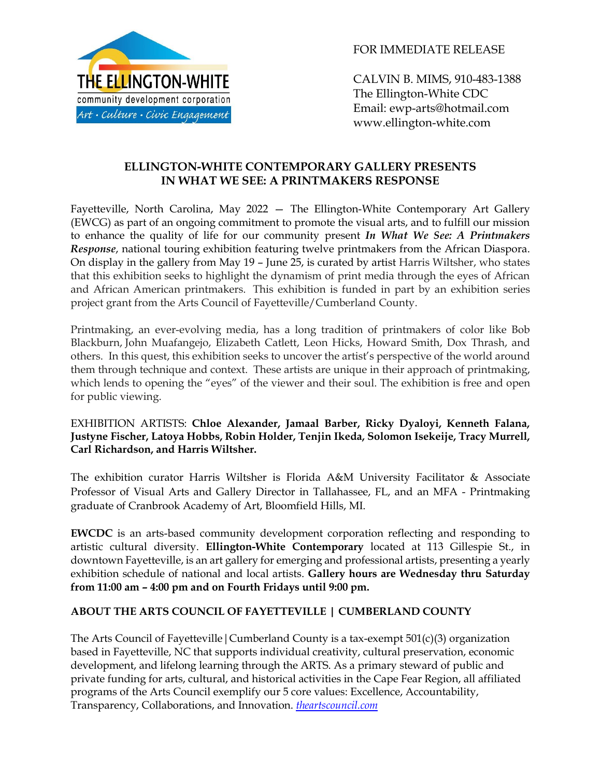

FOR IMMEDIATE RELEASE

CALVIN B. MIMS, 910-483-1388 The Ellington-White CDC Email: ewp-arts@hotmail.com www.ellington-white.com

## **ELLINGTON-WHITE CONTEMPORARY GALLERY PRESENTS IN WHAT WE SEE: A PRINTMAKERS RESPONSE**

Fayetteville, North Carolina, May 2022 — The Ellington-White Contemporary Art Gallery (EWCG) as part of an ongoing commitment to promote the visual arts, and to fulfill our mission to enhance the quality of life for our community present *In What We See: A Printmakers Response*, national touring exhibition featuring twelve printmakers from the African Diaspora. On display in the gallery from May 19 – June 25, is curated by artist Harris Wiltsher, who states that this exhibition seeks to highlight the dynamism of print media through the eyes of African and African American printmakers. This exhibition is funded in part by an exhibition series project grant from the Arts Council of Fayetteville/Cumberland County.

Printmaking, an ever-evolving media, has a long tradition of printmakers of color like Bob Blackburn, John Muafangejo, Elizabeth Catlett, Leon Hicks, Howard Smith, Dox Thrash, and others. In this quest, this exhibition seeks to uncover the artist's perspective of the world around them through technique and context. These artists are unique in their approach of printmaking, which lends to opening the "eyes" of the viewer and their soul. The exhibition is free and open for public viewing.

## EXHIBITION ARTISTS: **Chloe Alexander, Jamaal Barber, Ricky Dyaloyi, Kenneth Falana, Justyne Fischer, Latoya Hobbs, Robin Holder, Tenjin Ikeda, Solomon Isekeije, Tracy Murrell, Carl Richardson, and Harris Wiltsher.**

The exhibition curator Harris Wiltsher is Florida A&M University Facilitator & Associate Professor of Visual Arts and Gallery Director in Tallahassee, FL, and an MFA - Printmaking graduate of Cranbrook Academy of Art, Bloomfield Hills, MI.

**EWCDC** is an arts-based community development corporation reflecting and responding to artistic cultural diversity. **Ellington-White Contemporary** located at 113 Gillespie St., in downtown Fayetteville, is an art gallery for emerging and professional artists, presenting a yearly exhibition schedule of national and local artists. **Gallery hours are Wednesday thru Saturday from 11:00 am – 4:00 pm and on Fourth Fridays until 9:00 pm.**

## **ABOUT THE ARTS COUNCIL OF FAYETTEVILLE | CUMBERLAND COUNTY**

The Arts Council of Fayetteville|Cumberland County is a tax-exempt 501(c)(3) organization based in Fayetteville, NC that supports individual creativity, cultural preservation, economic development, and lifelong learning through the ARTS. As a primary steward of public and private funding for arts, cultural, and historical activities in the Cape Fear Region, all affiliated programs of the Arts Council exemplify our 5 core values: Excellence, Accountability, Transparency, Collaborations, and Innovation. *[theartscouncil.com](https://nam12.safelinks.protection.outlook.com/?url=http%3A%2F%2Ftheartscouncil.com%2F&data=05%7C01%7C%7C5e08efb20c974bf89b4e08da3f2d26cf%7C84df9e7fe9f640afb435aaaaaaaaaaaa%7C1%7C0%7C637891760439416703%7CUnknown%7CTWFpbGZsb3d8eyJWIjoiMC4wLjAwMDAiLCJQIjoiV2luMzIiLCJBTiI6Ik1haWwiLCJXVCI6Mn0%3D%7C3000%7C%7C%7C&sdata=YBsQkafTypjHhhpeLIqkiyssRZOOQGNIProPEOH3jcM%3D&reserved=0)*